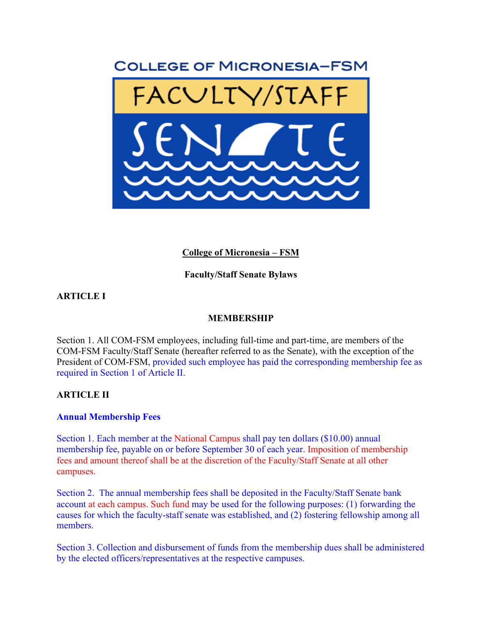

# **College of Micronesia – FSM**

### **Faculty/Staff Senate Bylaws**

## **ARTICLE I**

# **MEMBERSHIP**

Section 1. All COM-FSM employees, including full-time and part-time, are members of the COM-FSM Faculty/Staff Senate (hereafter referred to as the Senate), with the exception of the President of COM-FSM, provided such employee has paid the corresponding membership fee as required in Section 1 of Article II.

### **ARTICLE II**

### **Annual Membership Fees**

Section 1. Each member at the National Campus shall pay ten dollars (\$10.00) annual membership fee, payable on or before September 30 of each year. Imposition of membership fees and amount thereof shall be at the discretion of the Faculty/Staff Senate at all other campuses.

Section 2. The annual membership fees shall be deposited in the Faculty/Staff Senate bank account at each campus. Such fund may be used for the following purposes: (1) forwarding the causes for which the faculty-staff senate was established, and (2) fostering fellowship among all members.

Section 3. Collection and disbursement of funds from the membership dues shall be administered by the elected officers/representatives at the respective campuses.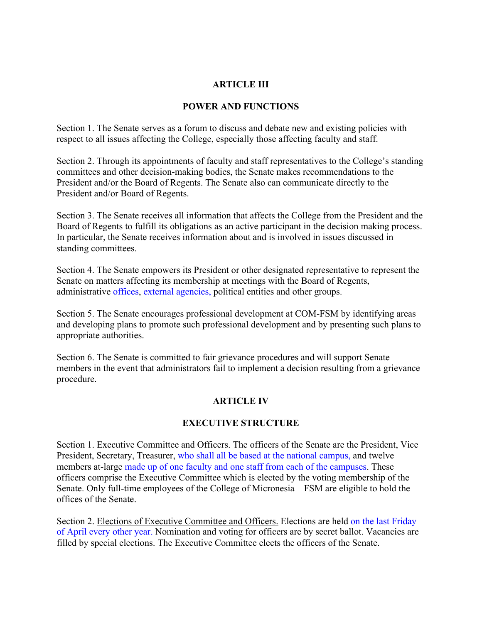## **ARTICLE III**

#### **POWER AND FUNCTIONS**

Section 1. The Senate serves as a forum to discuss and debate new and existing policies with respect to all issues affecting the College, especially those affecting faculty and staff.

Section 2. Through its appointments of faculty and staff representatives to the College's standing committees and other decision-making bodies, the Senate makes recommendations to the President and/or the Board of Regents. The Senate also can communicate directly to the President and/or Board of Regents.

Section 3. The Senate receives all information that affects the College from the President and the Board of Regents to fulfill its obligations as an active participant in the decision making process. In particular, the Senate receives information about and is involved in issues discussed in standing committees.

Section 4. The Senate empowers its President or other designated representative to represent the Senate on matters affecting its membership at meetings with the Board of Regents, administrative offices, external agencies, political entities and other groups.

Section 5. The Senate encourages professional development at COM-FSM by identifying areas and developing plans to promote such professional development and by presenting such plans to appropriate authorities.

Section 6. The Senate is committed to fair grievance procedures and will support Senate members in the event that administrators fail to implement a decision resulting from a grievance procedure.

## **ARTICLE IV**

### **EXECUTIVE STRUCTURE**

Section 1. Executive Committee and Officers. The officers of the Senate are the President, Vice President, Secretary, Treasurer, who shall all be based at the national campus, and twelve members at-large made up of one faculty and one staff from each of the campuses. These officers comprise the Executive Committee which is elected by the voting membership of the Senate. Only full-time employees of the College of Micronesia – FSM are eligible to hold the offices of the Senate.

Section 2. Elections of Executive Committee and Officers. Elections are held on the last Friday of April every other year. Nomination and voting for officers are by secret ballot. Vacancies are filled by special elections. The Executive Committee elects the officers of the Senate.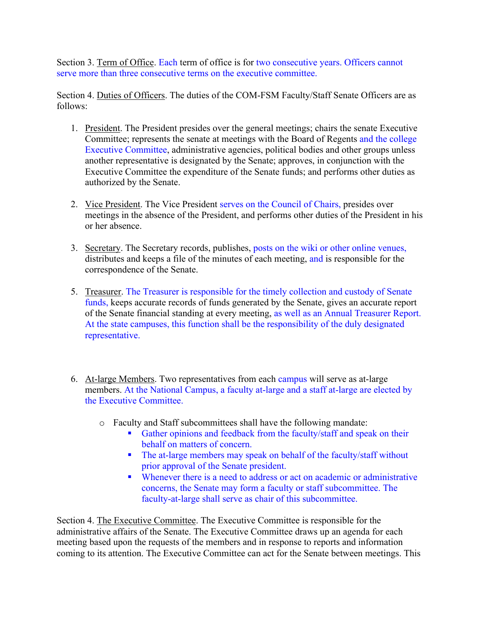Section 3. Term of Office. Each term of office is for two consecutive years. Officers cannot serve more than three consecutive terms on the executive committee.

Section 4. Duties of Officers. The duties of the COM-FSM Faculty/Staff Senate Officers are as follows:

- 1. President. The President presides over the general meetings; chairs the senate Executive Committee; represents the senate at meetings with the Board of Regents and the college Executive Committee, administrative agencies, political bodies and other groups unless another representative is designated by the Senate; approves, in conjunction with the Executive Committee the expenditure of the Senate funds; and performs other duties as authorized by the Senate.
- 2. Vice President. The Vice President serves on the Council of Chairs, presides over meetings in the absence of the President, and performs other duties of the President in his or her absence.
- 3. Secretary. The Secretary records, publishes, posts on the wiki or other online venues, distributes and keeps a file of the minutes of each meeting, and is responsible for the correspondence of the Senate.
- 5. Treasurer. The Treasurer is responsible for the timely collection and custody of Senate funds, keeps accurate records of funds generated by the Senate, gives an accurate report of the Senate financial standing at every meeting, as well as an Annual Treasurer Report. At the state campuses, this function shall be the responsibility of the duly designated representative.
- 6. At-large Members. Two representatives from each campus will serve as at-large members. At the National Campus, a faculty at-large and a staff at-large are elected by the Executive Committee.
	- o Faculty and Staff subcommittees shall have the following mandate:
		- Gather opinions and feedback from the faculty/staff and speak on their behalf on matters of concern.
		- The at-large members may speak on behalf of the faculty/staff without prior approval of the Senate president.
		- ! Whenever there is a need to address or act on academic or administrative concerns, the Senate may form a faculty or staff subcommittee. The faculty-at-large shall serve as chair of this subcommittee.

Section 4. The Executive Committee. The Executive Committee is responsible for the administrative affairs of the Senate. The Executive Committee draws up an agenda for each meeting based upon the requests of the members and in response to reports and information coming to its attention. The Executive Committee can act for the Senate between meetings. This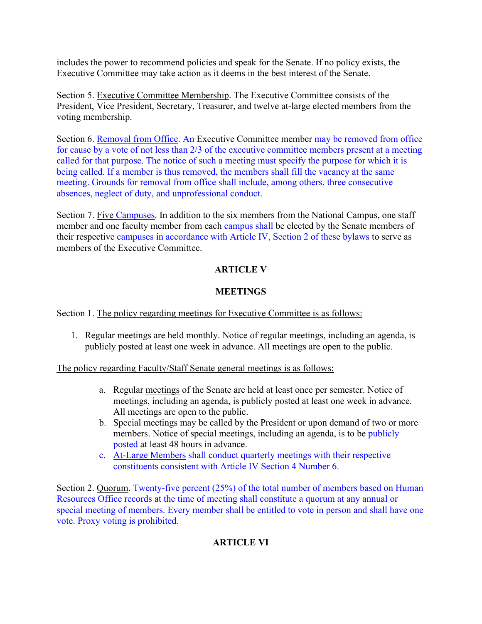includes the power to recommend policies and speak for the Senate. If no policy exists, the Executive Committee may take action as it deems in the best interest of the Senate.

Section 5. Executive Committee Membership. The Executive Committee consists of the President, Vice President, Secretary, Treasurer, and twelve at-large elected members from the voting membership.

Section 6. Removal from Office. An Executive Committee member may be removed from office for cause by a vote of not less than 2/3 of the executive committee members present at a meeting called for that purpose. The notice of such a meeting must specify the purpose for which it is being called. If a member is thus removed, the members shall fill the vacancy at the same meeting. Grounds for removal from office shall include, among others, three consecutive absences, neglect of duty, and unprofessional conduct.

Section 7. Five Campuses. In addition to the six members from the National Campus, one staff member and one faculty member from each campus shall be elected by the Senate members of their respective campuses in accordance with Article IV, Section 2 of these bylaws to serve as members of the Executive Committee.

## **ARTICLE V**

## **MEETINGS**

Section 1. The policy regarding meetings for Executive Committee is as follows:

1. Regular meetings are held monthly. Notice of regular meetings, including an agenda, is publicly posted at least one week in advance. All meetings are open to the public.

The policy regarding Faculty/Staff Senate general meetings is as follows:

- a. Regular meetings of the Senate are held at least once per semester. Notice of meetings, including an agenda, is publicly posted at least one week in advance. All meetings are open to the public.
- b. Special meetings may be called by the President or upon demand of two or more members. Notice of special meetings, including an agenda, is to be publicly posted at least 48 hours in advance.
- c. At-Large Members shall conduct quarterly meetings with their respective constituents consistent with Article IV Section 4 Number 6.

Section 2. Quorum. Twenty-five percent (25%) of the total number of members based on Human Resources Office records at the time of meeting shall constitute a quorum at any annual or special meeting of members. Every member shall be entitled to vote in person and shall have one vote. Proxy voting is prohibited.

# **ARTICLE VI**